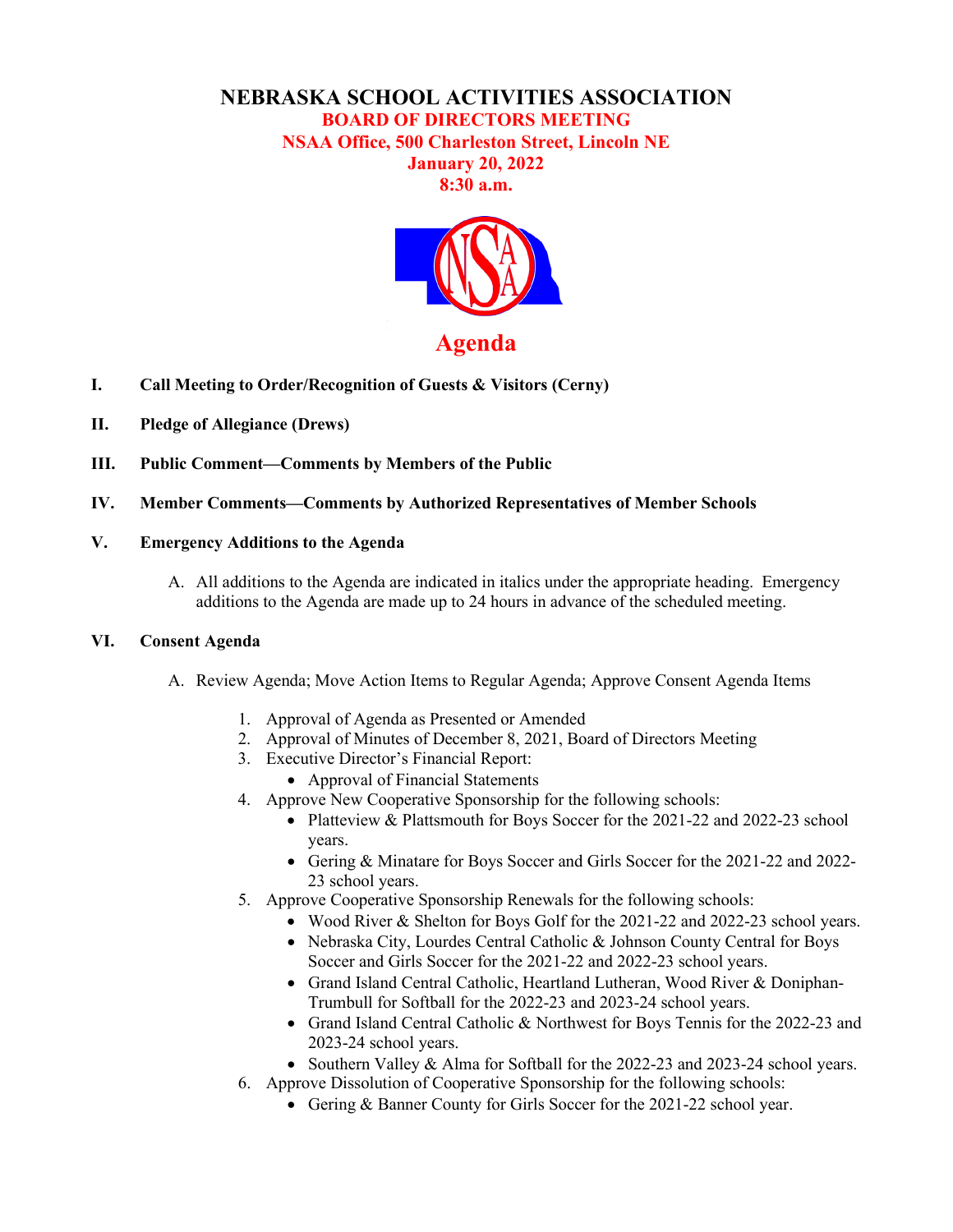# **NEBRASKA SCHOOL ACTIVITIES ASSOCIATION BOARD OF DIRECTORS MEETING**

**NSAA Office, 500 Charleston Street, Lincoln NE**

## **January 20, 2022 8:30 a.m.**



- **I. Call Meeting to Order/Recognition of Guests & Visitors (Cerny)**
- **II. Pledge of Allegiance (Drews)**
- **III. Public Comment—Comments by Members of the Public**
- **IV. Member Comments—Comments by Authorized Representatives of Member Schools**
- **V. Emergency Additions to the Agenda** 
	- A. All additions to the Agenda are indicated in italics under the appropriate heading. Emergency additions to the Agenda are made up to 24 hours in advance of the scheduled meeting.

#### **VI. Consent Agenda**

- A. Review Agenda; Move Action Items to Regular Agenda; Approve Consent Agenda Items
	- 1. Approval of Agenda as Presented or Amended
	- 2. Approval of Minutes of December 8, 2021, Board of Directors Meeting
	- 3. Executive Director's Financial Report:
		- Approval of Financial Statements
	- 4. Approve New Cooperative Sponsorship for the following schools:
		- Platteview & Plattsmouth for Boys Soccer for the 2021-22 and 2022-23 school years.
		- Gering & Minatare for Boys Soccer and Girls Soccer for the 2021-22 and 2022- 23 school years.
	- 5. Approve Cooperative Sponsorship Renewals for the following schools:
		- Wood River & Shelton for Boys Golf for the 2021-22 and 2022-23 school years.
		- Nebraska City, Lourdes Central Catholic & Johnson County Central for Boys Soccer and Girls Soccer for the 2021-22 and 2022-23 school years.
		- Grand Island Central Catholic, Heartland Lutheran, Wood River & Doniphan-Trumbull for Softball for the 2022-23 and 2023-24 school years.
		- Grand Island Central Catholic & Northwest for Boys Tennis for the 2022-23 and 2023-24 school years.
		- Southern Valley & Alma for Softball for the 2022-23 and 2023-24 school years.
	- 6. Approve Dissolution of Cooperative Sponsorship for the following schools:
		- Gering & Banner County for Girls Soccer for the 2021-22 school year.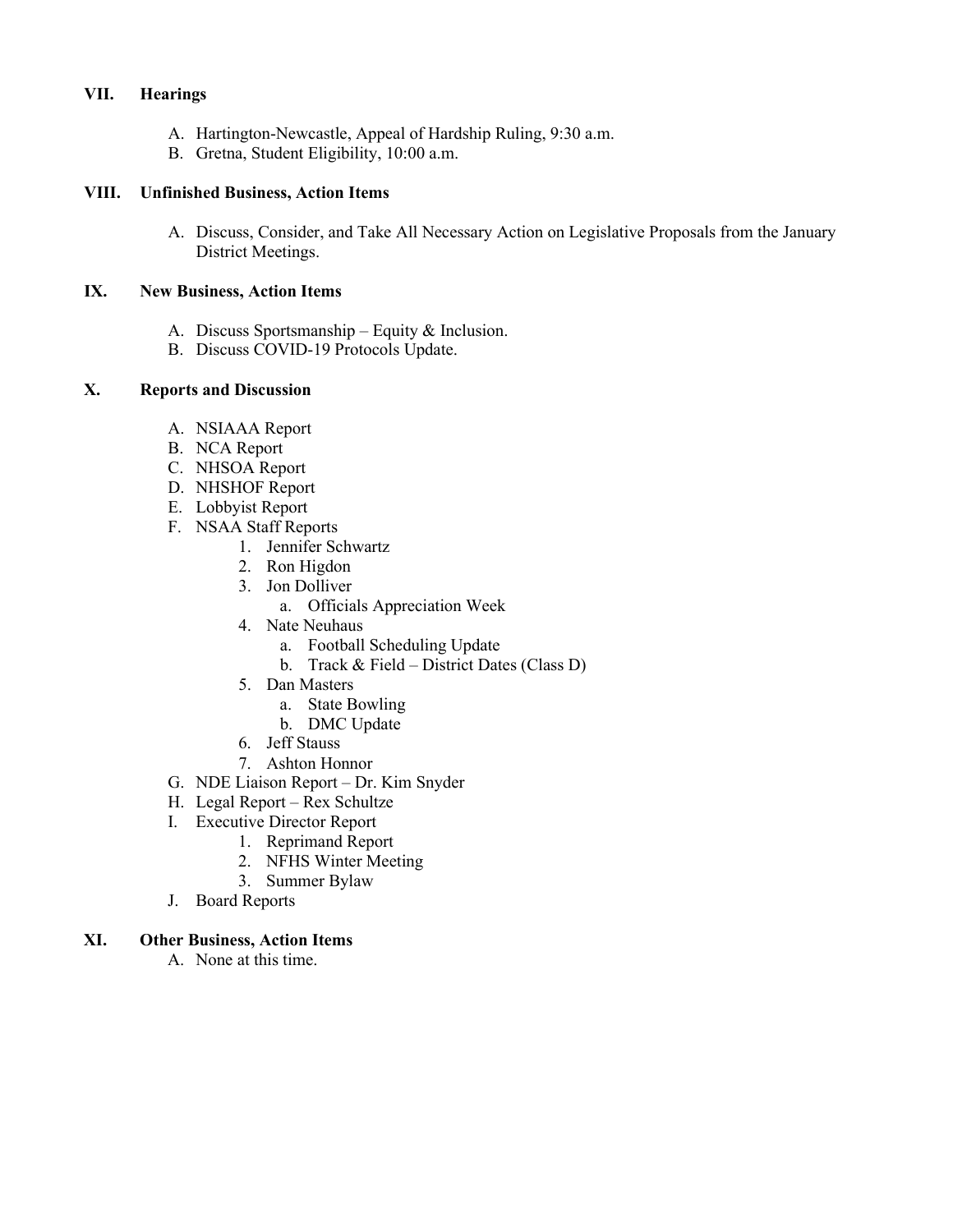### **VII. Hearings**

- A. Hartington-Newcastle, Appeal of Hardship Ruling, 9:30 a.m.
- B. Gretna, Student Eligibility, 10:00 a.m.

#### **VIII. Unfinished Business, Action Items**

A. Discuss, Consider, and Take All Necessary Action on Legislative Proposals from the January District Meetings.

### **IX. New Business, Action Items**

- A. Discuss Sportsmanship Equity & Inclusion.
- B. Discuss COVID-19 Protocols Update.

## **X. Reports and Discussion**

- A. NSIAAA Report
- B. NCA Report
- C. NHSOA Report
- D. NHSHOF Report
- E. Lobbyist Report
- F. NSAA Staff Reports
	- 1. Jennifer Schwartz
	- 2. Ron Higdon
	- 3. Jon Dolliver
		- a. Officials Appreciation Week
	- 4. Nate Neuhaus
		- a. Football Scheduling Update
		- b. Track & Field District Dates (Class D)
	- 5. Dan Masters
		- a. State Bowling
		- b. DMC Update
	- 6. Jeff Stauss
	- 7. Ashton Honnor
- G. NDE Liaison Report Dr. Kim Snyder
- H. Legal Report Rex Schultze
- I. Executive Director Report
	- 1. Reprimand Report
		- 2. NFHS Winter Meeting
		- 3. Summer Bylaw
- J. Board Reports

### **XI. Other Business, Action Items**

A. None at this time.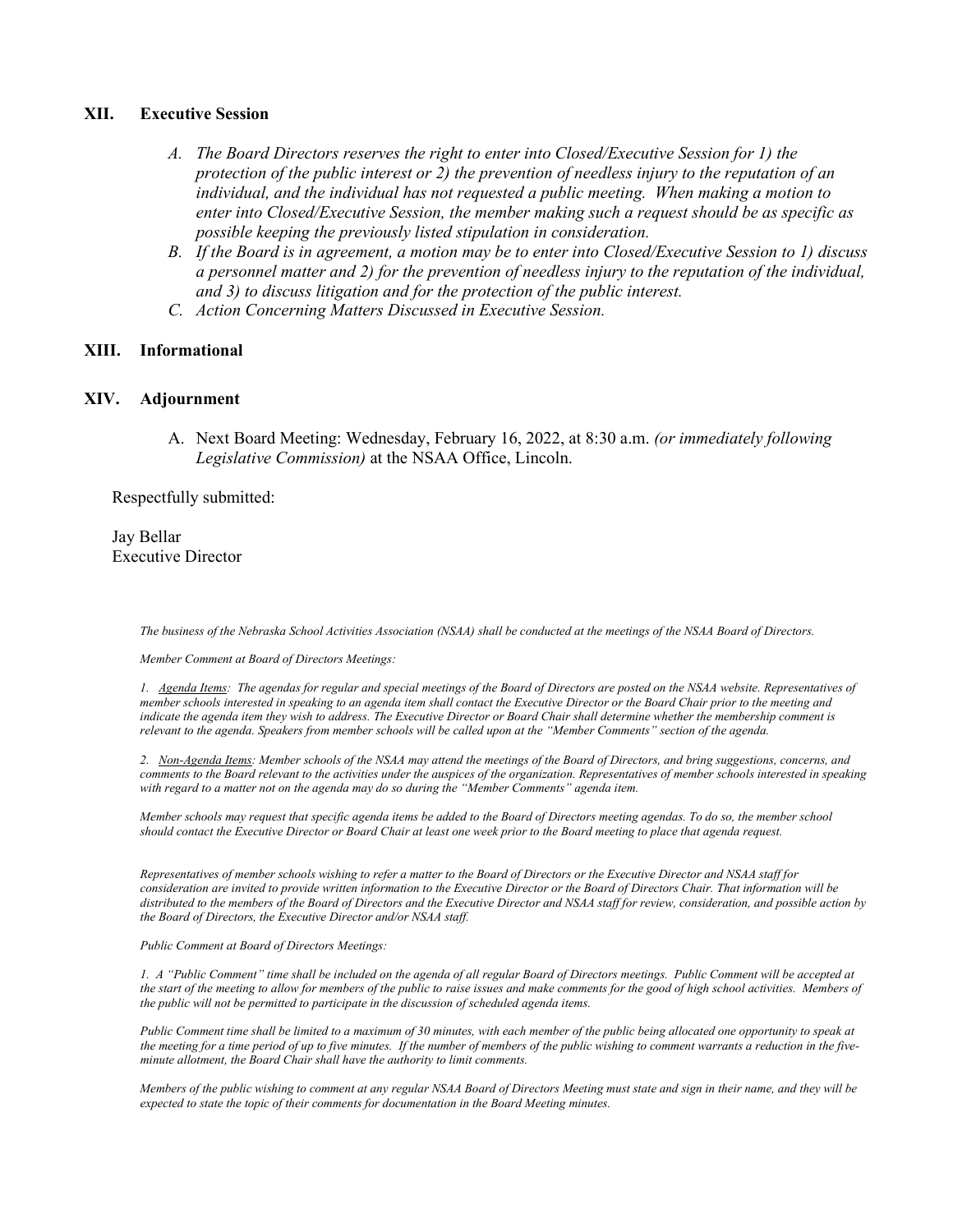#### **XII. Executive Session**

- *A. The Board Directors reserves the right to enter into Closed/Executive Session for 1) the protection of the public interest or 2) the prevention of needless injury to the reputation of an individual, and the individual has not requested a public meeting. When making a motion to enter into Closed/Executive Session, the member making such a request should be as specific as possible keeping the previously listed stipulation in consideration.*
- *B. If the Board is in agreement, a motion may be to enter into Closed/Executive Session to 1) discuss a personnel matter and 2) for the prevention of needless injury to the reputation of the individual, and 3) to discuss litigation and for the protection of the public interest.*
- *C. Action Concerning Matters Discussed in Executive Session.*

#### **XIII. Informational**

#### **XIV. Adjournment**

A. Next Board Meeting: Wednesday, February 16, 2022, at 8:30 a.m. *(or immediately following Legislative Commission)* at the NSAA Office, Lincoln.

Respectfully submitted:

Jay Bellar Executive Director

*The business of the Nebraska School Activities Association (NSAA) shall be conducted at the meetings of the NSAA Board of Directors.* 

*Member Comment at Board of Directors Meetings:*

*1. Agenda Items: The agendas for regular and special meetings of the Board of Directors are posted on the NSAA website. Representatives of member schools interested in speaking to an agenda item shall contact the Executive Director or the Board Chair prior to the meeting and* indicate the agenda item they wish to address. The Executive Director or Board Chair shall determine whether the membership comment is *relevant to the agenda. Speakers from member schools will be called upon at the "Member Comments" section of the agenda.*

*2. Non-Agenda Items: Member schools of the NSAA may attend the meetings of the Board of Directors, and bring suggestions, concerns, and comments to the Board relevant to the activities under the auspices of the organization. Representatives of member schools interested in speaking with regard to a matter not on the agenda may do so during the "Member Comments" agenda item.* 

*Member schools may request that specific agenda items be added to the Board of Directors meeting agendas. To do so, the member school should contact the Executive Director or Board Chair at least one week prior to the Board meeting to place that agenda request.* 

*Representatives of member schools wishing to refer a matter to the Board of Directors or the Executive Director and NSAA staff for consideration are invited to provide written information to the Executive Director or the Board of Directors Chair. That information will be distributed to the members of the Board of Directors and the Executive Director and NSAA staff for review, consideration, and possible action by the Board of Directors, the Executive Director and/or NSAA staff.*

*Public Comment at Board of Directors Meetings:*

*1. A "Public Comment" time shall be included on the agenda of all regular Board of Directors meetings. Public Comment will be accepted at the start of the meeting to allow for members of the public to raise issues and make comments for the good of high school activities. Members of the public will not be permitted to participate in the discussion of scheduled agenda items.*

*Public Comment time shall be limited to a maximum of 30 minutes, with each member of the public being allocated one opportunity to speak at the meeting for a time period of up to five minutes. If the number of members of the public wishing to comment warrants a reduction in the fiveminute allotment, the Board Chair shall have the authority to limit comments.*

*Members of the public wishing to comment at any regular NSAA Board of Directors Meeting must state and sign in their name, and they will be expected to state the topic of their comments for documentation in the Board Meeting minutes.*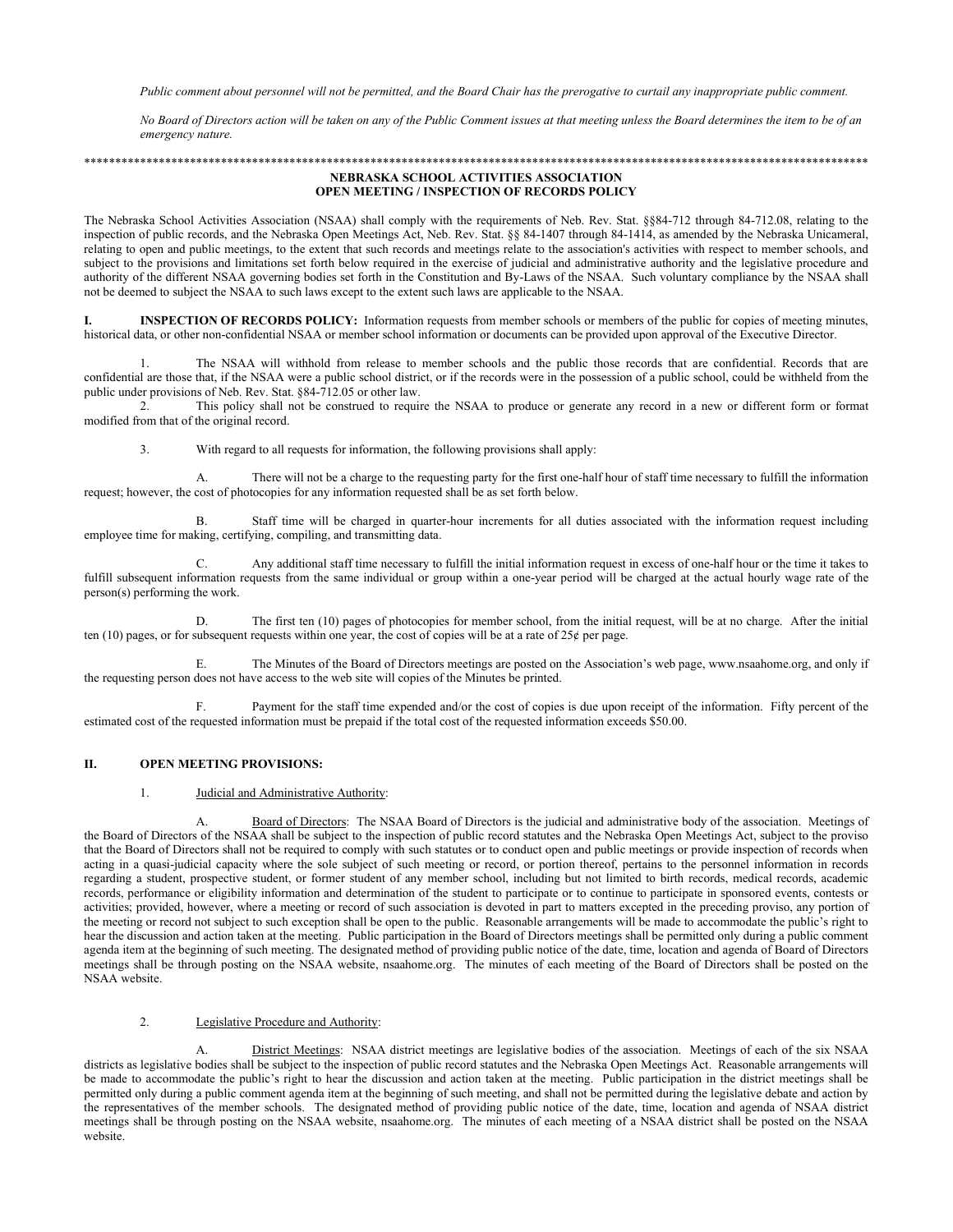Public comment about personnel will not be permitted, and the Board Chair has the prerogative to curtail any inappropriate public comment.

No Board of Directors action will be taken on any of the Public Comment issues at that meeting unless the Board determines the item to be of an emergency nature.

#### NEBRASKA SCHOOL ACTIVITIES ASSOCIATION **OPEN MEETING / INSPECTION OF RECORDS POLICY**

The Nebraska School Activities Association (NSAA) shall comply with the requirements of Neb. Rev. Stat. §§84-712 through 84-712.08, relating to the inspection of public records, and the Nebraska Open Meetings Act, Neb. Rev. Stat. § 84-1407 through 84-1414, as amended by the Nebraska Unicameral, relating to open and public meetings, to the extent that such records and meetings relate to the association's activities with respect to member schools, and subject to the provisions and limitations set forth below required in the exercise of judicial and administrative authority and the legislative procedure and authority of the different NSAA governing bodies set forth in the Constitution and By-Laws of the NSAA. Such voluntary compliance by the NSAA shall not be deemed to subject the NSAA to such laws except to the extent such laws are applicable to the NSAA.

INSPECTION OF RECORDS POLICY: Information requests from member schools or members of the public for copies of meeting minutes, I. historical data, or other non-confidential NSAA or member school information or documents can be provided upon approval of the Executive Director.

The NSAA will withhold from release to member schools and the public those records that are confidential. Records that are  $\mathbf{1}$ . confidential are those that, if the NSAA were a public school district, or if the records were in the possession of a public school, could be withheld from the public under provisions of Neb. Rev. Stat. §84-712.05 or other law.

2. This policy shall not be construed to require the NSAA to produce or generate any record in a new or different form or format modified from that of the original record.

3. With regard to all requests for information, the following provisions shall apply:

There will not be a charge to the requesting party for the first one-half hour of staff time necessary to fulfill the information  $\mathbf{A}$ . request; however, the cost of photocopies for any information requested shall be as set forth below.

Staff time will be charged in quarter-hour increments for all duties associated with the information request including  $\overline{B}$ employee time for making, certifying, compiling, and transmitting data.

Any additional staff time necessary to fulfill the initial information request in excess of one-half hour or the time it takes to  $C_{\cdot}$ fulfill subsequent information requests from the same individual or group within a one-year period will be charged at the actual hourly wage rate of the person(s) performing the work.

The first ten (10) pages of photocopies for member school, from the initial request, will be at no charge. After the initial D. ten (10) pages, or for subsequent requests within one year, the cost of copies will be at a rate of  $25¢$  per page.

Ε. The Minutes of the Board of Directors meetings are posted on the Association's web page, www.nsaahome.org, and only if the requesting person does not have access to the web site will copies of the Minutes be printed.

Payment for the staff time expended and/or the cost of copies is due upon receipt of the information. Fifty percent of the  $F$ estimated cost of the requested information must be prepaid if the total cost of the requested information exceeds \$50.00.

#### **OPEN MEETING PROVISIONS:** П.

#### $\mathbf{1}$ . Judicial and Administrative Authority:

Board of Directors: The NSAA Board of Directors is the judicial and administrative body of the association. Meetings of А. the Board of Directors of the NSAA shall be subject to the inspection of public record statutes and the Nebraska Open Meetings Act, subject to the proviso that the Board of Directors shall not be required to comply with such statutes or to conduct open and public meetings or provide inspection of records when acting in a quasi-judicial capacity where the sole subject of such meeting or record, or portion thereof, pertains to the personnel information in records regarding a student, prospective student, or former student of any member school, including but not limited to birth records, medical records, academic records, performance or eligibility information and determination of the student to participate or to continue to participate in sponsored events, contests or activities; provided, however, where a meeting or record of such association is devoted in part to matters excepted in the preceding proviso, any portion of the meeting or record not subject to such exception shall be open to the public. Reasonable arrangements will be made to accommodate the public's right to hear the discussion and action taken at the meeting. Public participation in the Board of Directors meetings shall be permitted only during a public comment agenda item at the beginning of such meeting. The designated method of providing public notice of the date, time, location and agenda of Board of Directors meetings shall be through posting on the NSAA website, nsaahome.org. The minutes of each meeting of the Board of Directors shall be posted on the NSAA website.

#### $\overline{2}$ . Legislative Procedure and Authority:

District Meetings: NSAA district meetings are legislative bodies of the association. Meetings of each of the six NSAA districts as legislative bodies shall be subject to the inspection of public record statutes and the Nebraska Open Meetings Act. Reasonable arrangements will be made to accommodate the public's right to hear the discussion and action taken at the meeting. Public participation in the district meetings shall be permitted only during a public comment agenda item at the beginning of such meeting, and shall not be permitted during the legislative debate and action by the representatives of the member schools. The designated method of providing public notice of the date, time, location and agenda of NSAA district meetings shall be through posting on the NSAA website, nsaahome.org. The minutes of each meeting of a NSAA district shall be posted on the NSAA website.